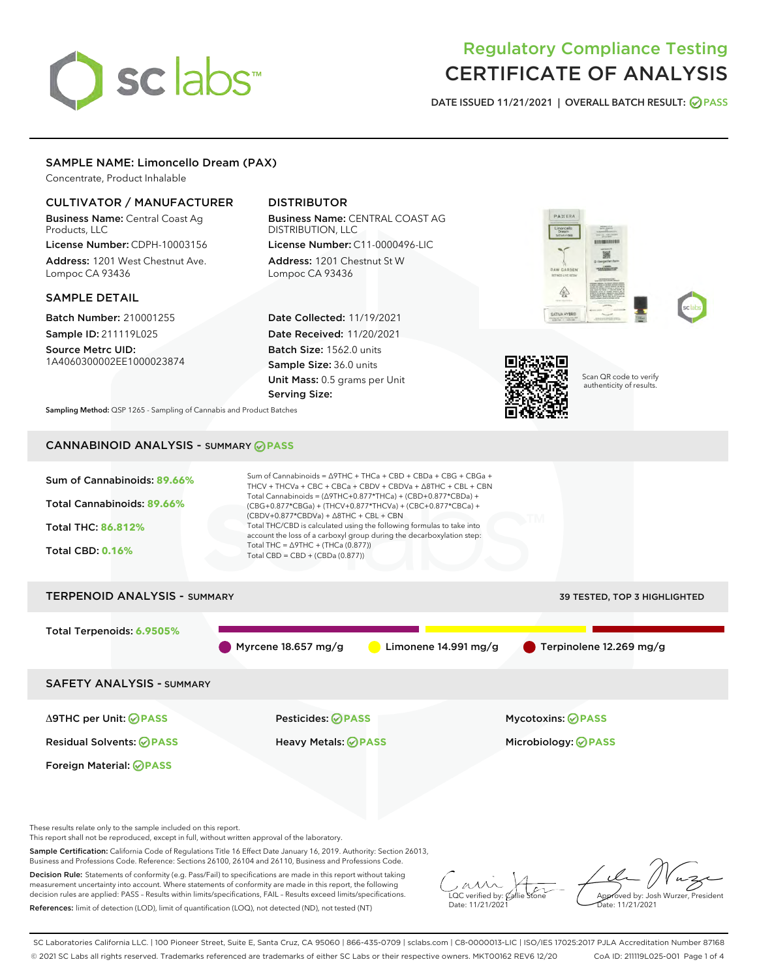# sclabs<sup>\*</sup>

# Regulatory Compliance Testing CERTIFICATE OF ANALYSIS

DATE ISSUED 11/21/2021 | OVERALL BATCH RESULT: @ PASS

# SAMPLE NAME: Limoncello Dream (PAX)

Concentrate, Product Inhalable

# CULTIVATOR / MANUFACTURER

Business Name: Central Coast Ag Products, LLC

License Number: CDPH-10003156 Address: 1201 West Chestnut Ave. Lompoc CA 93436

# SAMPLE DETAIL

Batch Number: 210001255 Sample ID: 211119L025

Source Metrc UID: 1A4060300002EE1000023874

# DISTRIBUTOR

Business Name: CENTRAL COAST AG DISTRIBUTION, LLC License Number: C11-0000496-LIC

Address: 1201 Chestnut St W Lompoc CA 93436

Date Collected: 11/19/2021 Date Received: 11/20/2021 Batch Size: 1562.0 units Sample Size: 36.0 units Unit Mass: 0.5 grams per Unit Serving Size:





Scan QR code to verify authenticity of results.

Sampling Method: QSP 1265 - Sampling of Cannabis and Product Batches

# CANNABINOID ANALYSIS - SUMMARY **PASS**

| Sum of Cannabinoids: 89.66%<br>Total Cannabinoids: 89.66%<br>Total THC: 86.812%<br><b>Total CBD: 0.16%</b> | Sum of Cannabinoids = $\triangle$ 9THC + THCa + CBD + CBDa + CBG + CBGa +<br>THCV + THCVa + CBC + CBCa + CBDV + CBDVa + $\triangle$ 8THC + CBL + CBN<br>Total Cannabinoids = $(\Delta$ 9THC+0.877*THCa) + (CBD+0.877*CBDa) +<br>(CBG+0.877*CBGa) + (THCV+0.877*THCVa) + (CBC+0.877*CBCa) +<br>$(CBDV+0.877*CBDVa) + \Delta 8THC + CBL + CBN$<br>Total THC/CBD is calculated using the following formulas to take into<br>account the loss of a carboxyl group during the decarboxylation step:<br>Total THC = $\triangle$ 9THC + (THCa (0.877))<br>Total CBD = $CBD + (CBDa (0.877))$ |                                     |
|------------------------------------------------------------------------------------------------------------|---------------------------------------------------------------------------------------------------------------------------------------------------------------------------------------------------------------------------------------------------------------------------------------------------------------------------------------------------------------------------------------------------------------------------------------------------------------------------------------------------------------------------------------------------------------------------------------|-------------------------------------|
| <b>TERPENOID ANALYSIS - SUMMARY</b>                                                                        |                                                                                                                                                                                                                                                                                                                                                                                                                                                                                                                                                                                       | <b>39 TESTED, TOP 3 HIGHLIGHTED</b> |
| Total Terpenoids: 6.9505%                                                                                  | Myrcene $18.657$ mg/g<br>Limonene $14.991 \,\mathrm{mg/g}$                                                                                                                                                                                                                                                                                                                                                                                                                                                                                                                            | Terpinolene 12.269 mg/g             |
| <b>SAFETY ANALYSIS - SUMMARY</b>                                                                           |                                                                                                                                                                                                                                                                                                                                                                                                                                                                                                                                                                                       |                                     |
| ∆9THC per Unit: ⊘PASS                                                                                      | Pesticides: ⊘PASS                                                                                                                                                                                                                                                                                                                                                                                                                                                                                                                                                                     | <b>Mycotoxins: ⊘PASS</b>            |
| <b>Residual Solvents: ⊘PASS</b>                                                                            | Heavy Metals: <b>PASS</b>                                                                                                                                                                                                                                                                                                                                                                                                                                                                                                                                                             | Microbiology: <b>OPASS</b>          |
| <b>Foreign Material: ⊘PASS</b>                                                                             |                                                                                                                                                                                                                                                                                                                                                                                                                                                                                                                                                                                       |                                     |

These results relate only to the sample included on this report.

This report shall not be reproduced, except in full, without written approval of the laboratory.

Sample Certification: California Code of Regulations Title 16 Effect Date January 16, 2019. Authority: Section 26013, Business and Professions Code. Reference: Sections 26100, 26104 and 26110, Business and Professions Code.

Decision Rule: Statements of conformity (e.g. Pass/Fail) to specifications are made in this report without taking measurement uncertainty into account. Where statements of conformity are made in this report, the following decision rules are applied: PASS – Results within limits/specifications, FAIL – Results exceed limits/specifications. References: limit of detection (LOD), limit of quantification (LOQ), not detected (ND), not tested (NT)

 $\sim$  CC verified by:  $\mathcal{C}_i$ Date: 11/21/2021

Approved by: Josh Wurzer, President ate: 11/21/2021

SC Laboratories California LLC. | 100 Pioneer Street, Suite E, Santa Cruz, CA 95060 | 866-435-0709 | sclabs.com | C8-0000013-LIC | ISO/IES 17025:2017 PJLA Accreditation Number 87168 © 2021 SC Labs all rights reserved. Trademarks referenced are trademarks of either SC Labs or their respective owners. MKT00162 REV6 12/20 CoA ID: 211119L025-001 Page 1 of 4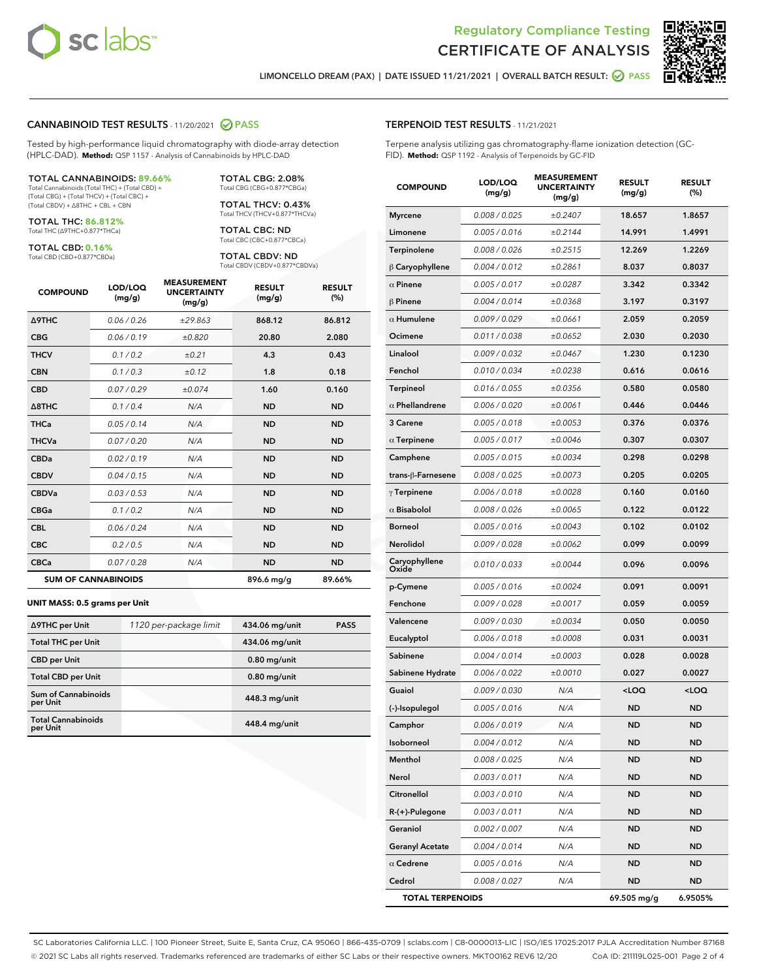



LIMONCELLO DREAM (PAX) | DATE ISSUED 11/21/2021 | OVERALL BATCH RESULT: ■ PASS

# CANNABINOID TEST RESULTS - 11/20/2021 @ PASS

Tested by high-performance liquid chromatography with diode-array detection (HPLC-DAD). **Method:** QSP 1157 - Analysis of Cannabinoids by HPLC-DAD

#### TOTAL CANNABINOIDS: **89.66%**

Total Cannabinoids (Total THC) + (Total CBD) + (Total CBG) + (Total THCV) + (Total CBC) + (Total CBDV) + ∆8THC + CBL + CBN

TOTAL THC: **86.812%** Total THC (∆9THC+0.877\*THCa)

TOTAL CBD: **0.16%**

Total CBD (CBD+0.877\*CBDa)

TOTAL CBG: 2.08% Total CBG (CBG+0.877\*CBGa)

TOTAL THCV: 0.43% Total THCV (THCV+0.877\*THCVa)

TOTAL CBC: ND Total CBC (CBC+0.877\*CBCa)

TOTAL CBDV: ND Total CBDV (CBDV+0.877\*CBDVa)

| <b>COMPOUND</b>  | LOD/LOQ<br>(mg/g)          | <b>MEASUREMENT</b><br><b>UNCERTAINTY</b><br>(mg/g) | <b>RESULT</b><br>(mg/g) | <b>RESULT</b><br>(%) |
|------------------|----------------------------|----------------------------------------------------|-------------------------|----------------------|
| <b>A9THC</b>     | 0.06 / 0.26                | ±29.863                                            | 868.12                  | 86.812               |
| <b>CBG</b>       | 0.06 / 0.19                | ±0.820                                             | 20.80                   | 2.080                |
| <b>THCV</b>      | 0.1 / 0.2                  | ±0.21                                              | 4.3                     | 0.43                 |
| <b>CBN</b>       | 0.1/0.3                    | ±0.12                                              | 1.8                     | 0.18                 |
| <b>CBD</b>       | 0.07/0.29                  | ±0.074                                             | 1.60                    | 0.160                |
| $\triangle$ 8THC | 0.1 / 0.4                  | N/A                                                | <b>ND</b>               | <b>ND</b>            |
| THCa             | 0.05/0.14                  | N/A                                                | <b>ND</b>               | <b>ND</b>            |
| <b>THCVa</b>     | 0.07/0.20                  | N/A                                                | <b>ND</b>               | <b>ND</b>            |
| <b>CBDa</b>      | 0.02/0.19                  | N/A                                                | <b>ND</b>               | <b>ND</b>            |
| <b>CBDV</b>      | 0.04 / 0.15                | N/A                                                | <b>ND</b>               | <b>ND</b>            |
| <b>CBDVa</b>     | 0.03/0.53                  | N/A                                                | <b>ND</b>               | <b>ND</b>            |
| <b>CBGa</b>      | 0.1 / 0.2                  | N/A                                                | <b>ND</b>               | <b>ND</b>            |
| <b>CBL</b>       | 0.06 / 0.24                | N/A                                                | <b>ND</b>               | <b>ND</b>            |
| <b>CBC</b>       | 0.2 / 0.5                  | N/A                                                | <b>ND</b>               | <b>ND</b>            |
| <b>CBCa</b>      | 0.07/0.28                  | N/A                                                | <b>ND</b>               | <b>ND</b>            |
|                  | <b>SUM OF CANNABINOIDS</b> |                                                    | 896.6 mg/g              | 89.66%               |

#### **UNIT MASS: 0.5 grams per Unit**

| ∆9THC per Unit                        | 1120 per-package limit | 434.06 mg/unit | <b>PASS</b> |
|---------------------------------------|------------------------|----------------|-------------|
| <b>Total THC per Unit</b>             |                        | 434.06 mg/unit |             |
| <b>CBD</b> per Unit                   |                        | $0.80$ mg/unit |             |
| <b>Total CBD per Unit</b>             |                        | $0.80$ mg/unit |             |
| Sum of Cannabinoids<br>per Unit       |                        | 448.3 mg/unit  |             |
| <b>Total Cannabinoids</b><br>per Unit |                        | 448.4 mg/unit  |             |

#### TERPENOID TEST RESULTS - 11/21/2021

Terpene analysis utilizing gas chromatography-flame ionization detection (GC-FID). **Method:** QSP 1192 - Analysis of Terpenoids by GC-FID

| <b>COMPOUND</b>         | LOD/LOQ<br>(mg/g) | <b>MEASUREMENT</b><br><b>UNCERTAINTY</b><br>(mg/g) | <b>RESULT</b><br>(mg/g)                         | <b>RESULT</b><br>(%) |
|-------------------------|-------------------|----------------------------------------------------|-------------------------------------------------|----------------------|
| <b>Myrcene</b>          | 0.008 / 0.025     | ±0.2407                                            | 18.657                                          | 1.8657               |
| Limonene                | 0.005 / 0.016     | ±0.2144                                            | 14.991                                          | 1.4991               |
| Terpinolene             | 0.008 / 0.026     | ±0.2515                                            | 12.269                                          | 1.2269               |
| $\beta$ Caryophyllene   | 0.004 / 0.012     | ±0.2861                                            | 8.037                                           | 0.8037               |
| $\alpha$ Pinene         | 0.005 / 0.017     | ±0.0287                                            | 3.342                                           | 0.3342               |
| $\beta$ Pinene          | 0.004 / 0.014     | ±0.0368                                            | 3.197                                           | 0.3197               |
| $\alpha$ Humulene       | 0.009 / 0.029     | ±0.0661                                            | 2.059                                           | 0.2059               |
| Ocimene                 | 0.011 / 0.038     | ±0.0652                                            | 2.030                                           | 0.2030               |
| Linalool                | 0.009 / 0.032     | ±0.0467                                            | 1.230                                           | 0.1230               |
| Fenchol                 | 0.010 / 0.034     | ±0.0238                                            | 0.616                                           | 0.0616               |
| Terpineol               | 0.016 / 0.055     | ±0.0356                                            | 0.580                                           | 0.0580               |
| $\alpha$ Phellandrene   | 0.006 / 0.020     | ±0.0061                                            | 0.446                                           | 0.0446               |
| 3 Carene                | 0.005 / 0.018     | ±0.0053                                            | 0.376                                           | 0.0376               |
| $\alpha$ Terpinene      | 0.005 / 0.017     | ±0.0046                                            | 0.307                                           | 0.0307               |
| Camphene                | 0.005 / 0.015     | ±0.0034                                            | 0.298                                           | 0.0298               |
| trans-ß-Farnesene       | 0.008 / 0.025     | ±0.0073                                            | 0.205                                           | 0.0205               |
| $\gamma$ Terpinene      | 0.006 / 0.018     | ±0.0028                                            | 0.160                                           | 0.0160               |
| $\alpha$ Bisabolol      | 0.008 / 0.026     | ±0.0065                                            | 0.122                                           | 0.0122               |
| <b>Borneol</b>          | 0.005 / 0.016     | ±0.0043                                            | 0.102                                           | 0.0102               |
| Nerolidol               | 0.009 / 0.028     | ±0.0062                                            | 0.099                                           | 0.0099               |
| Caryophyllene<br>Oxide  | 0.010 / 0.033     | ±0.0044                                            | 0.096                                           | 0.0096               |
| p-Cymene                | 0.005 / 0.016     | ±0.0024                                            | 0.091                                           | 0.0091               |
| Fenchone                | 0.009 / 0.028     | ±0.0017                                            | 0.059                                           | 0.0059               |
| Valencene               | 0.009 / 0.030     | ±0.0034                                            | 0.050                                           | 0.0050               |
| Eucalyptol              | 0.006 / 0.018     | ±0.0008                                            | 0.031                                           | 0.0031               |
| Sabinene                | 0.004 / 0.014     | ±0.0003                                            | 0.028                                           | 0.0028               |
| Sabinene Hydrate        | 0.006 / 0.022     | ±0.0010                                            | 0.027                                           | 0.0027               |
| Guaiol                  | 0.009 / 0.030     | N/A                                                | <loq< th=""><th><loq< th=""></loq<></th></loq<> | <loq< th=""></loq<>  |
| (-)-Isopulegol          | 0.005 / 0.016     | N/A                                                | ND                                              | ND                   |
| Camphor                 | 0.006 / 0.019     | N/A                                                | <b>ND</b>                                       | <b>ND</b>            |
| Isoborneol              | 0.004 / 0.012     | N/A                                                | ND                                              | ND                   |
| Menthol                 | 0.008 / 0.025     | N/A                                                | ND                                              | ND                   |
| Nerol                   | 0.003 / 0.011     | N/A                                                | <b>ND</b>                                       | ND                   |
| Citronellol             | 0.003 / 0.010     | N/A                                                | <b>ND</b>                                       | ND                   |
| R-(+)-Pulegone          | 0.003 / 0.011     | N/A                                                | ND                                              | ND                   |
| Geraniol                | 0.002 / 0.007     | N/A                                                | ND                                              | ND                   |
| <b>Geranyl Acetate</b>  | 0.004 / 0.014     | N/A                                                | <b>ND</b>                                       | ND                   |
| $\alpha$ Cedrene        | 0.005 / 0.016     | N/A                                                | ND                                              | ND                   |
| Cedrol                  | 0.008 / 0.027     | N/A                                                | <b>ND</b>                                       | ND                   |
| <b>TOTAL TERPENOIDS</b> |                   |                                                    | 69.505 mg/g                                     | 6.9505%              |

SC Laboratories California LLC. | 100 Pioneer Street, Suite E, Santa Cruz, CA 95060 | 866-435-0709 | sclabs.com | C8-0000013-LIC | ISO/IES 17025:2017 PJLA Accreditation Number 87168 © 2021 SC Labs all rights reserved. Trademarks referenced are trademarks of either SC Labs or their respective owners. MKT00162 REV6 12/20 CoA ID: 211119L025-001 Page 2 of 4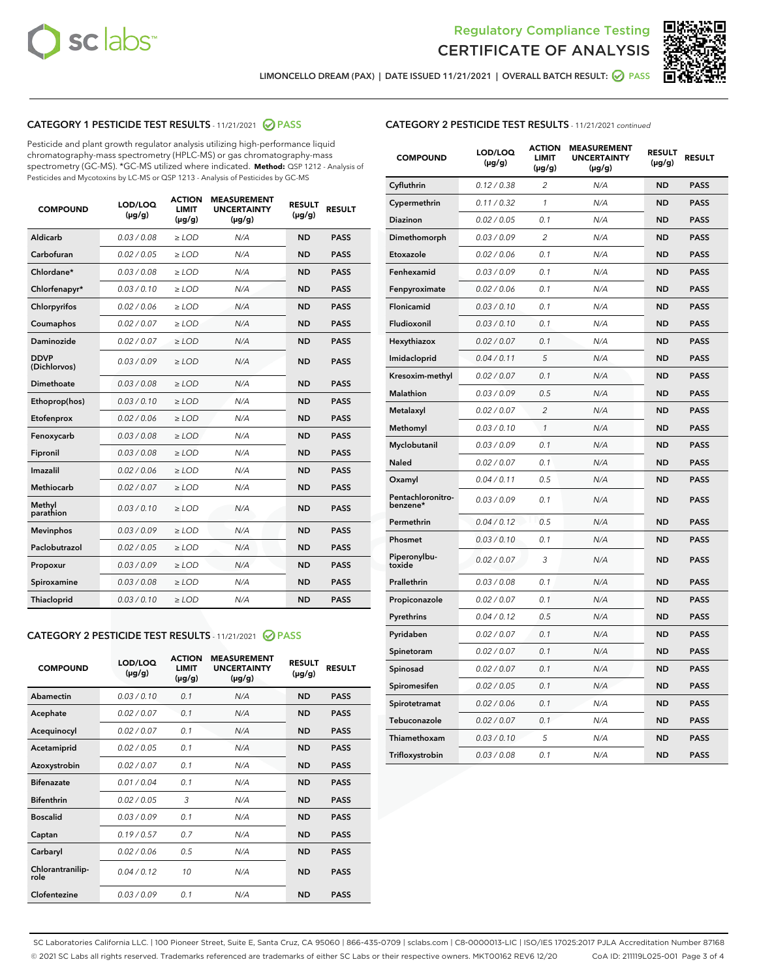



LIMONCELLO DREAM (PAX) | DATE ISSUED 11/21/2021 | OVERALL BATCH RESULT: @ PASS

# CATEGORY 1 PESTICIDE TEST RESULTS - 11/21/2021 2 PASS

Pesticide and plant growth regulator analysis utilizing high-performance liquid chromatography-mass spectrometry (HPLC-MS) or gas chromatography-mass spectrometry (GC-MS). \*GC-MS utilized where indicated. **Method:** QSP 1212 - Analysis of Pesticides and Mycotoxins by LC-MS or QSP 1213 - Analysis of Pesticides by GC-MS

| <b>COMPOUND</b>             | LOD/LOQ<br>$(\mu g/g)$ | <b>ACTION</b><br><b>LIMIT</b><br>$(\mu g/g)$ | <b>MEASUREMENT</b><br><b>UNCERTAINTY</b><br>$(\mu g/g)$ | <b>RESULT</b><br>$(\mu g/g)$ | <b>RESULT</b> |
|-----------------------------|------------------------|----------------------------------------------|---------------------------------------------------------|------------------------------|---------------|
| Aldicarb                    | 0.03 / 0.08            | $\ge$ LOD                                    | N/A                                                     | <b>ND</b>                    | <b>PASS</b>   |
| Carbofuran                  | 0.02/0.05              | $\ge$ LOD                                    | N/A                                                     | <b>ND</b>                    | <b>PASS</b>   |
| Chlordane*                  | 0.03 / 0.08            | $\ge$ LOD                                    | N/A                                                     | <b>ND</b>                    | <b>PASS</b>   |
| Chlorfenapyr*               | 0.03/0.10              | $\ge$ LOD                                    | N/A                                                     | <b>ND</b>                    | <b>PASS</b>   |
| Chlorpyrifos                | 0.02 / 0.06            | $\ge$ LOD                                    | N/A                                                     | <b>ND</b>                    | <b>PASS</b>   |
| Coumaphos                   | 0.02 / 0.07            | $>$ LOD                                      | N/A                                                     | <b>ND</b>                    | <b>PASS</b>   |
| <b>Daminozide</b>           | 0.02 / 0.07            | $\ge$ LOD                                    | N/A                                                     | <b>ND</b>                    | <b>PASS</b>   |
| <b>DDVP</b><br>(Dichlorvos) | 0.03/0.09              | $\ge$ LOD                                    | N/A                                                     | <b>ND</b>                    | <b>PASS</b>   |
| Dimethoate                  | 0.03 / 0.08            | $>$ LOD                                      | N/A                                                     | <b>ND</b>                    | <b>PASS</b>   |
| Ethoprop(hos)               | 0.03/0.10              | $\ge$ LOD                                    | N/A                                                     | <b>ND</b>                    | <b>PASS</b>   |
| Etofenprox                  | 0.02 / 0.06            | $\ge$ LOD                                    | N/A                                                     | <b>ND</b>                    | <b>PASS</b>   |
| Fenoxycarb                  | 0.03 / 0.08            | $>$ LOD                                      | N/A                                                     | <b>ND</b>                    | <b>PASS</b>   |
| Fipronil                    | 0.03/0.08              | $\ge$ LOD                                    | N/A                                                     | <b>ND</b>                    | <b>PASS</b>   |
| Imazalil                    | 0.02 / 0.06            | $>$ LOD                                      | N/A                                                     | <b>ND</b>                    | <b>PASS</b>   |
| Methiocarb                  | 0.02 / 0.07            | $\ge$ LOD                                    | N/A                                                     | <b>ND</b>                    | <b>PASS</b>   |
| Methyl<br>parathion         | 0.03/0.10              | $\ge$ LOD                                    | N/A                                                     | <b>ND</b>                    | <b>PASS</b>   |
| <b>Mevinphos</b>            | 0.03/0.09              | $\ge$ LOD                                    | N/A                                                     | <b>ND</b>                    | <b>PASS</b>   |
| Paclobutrazol               | 0.02 / 0.05            | $\ge$ LOD                                    | N/A                                                     | <b>ND</b>                    | <b>PASS</b>   |
| Propoxur                    | 0.03/0.09              | $\ge$ LOD                                    | N/A                                                     | <b>ND</b>                    | <b>PASS</b>   |
| Spiroxamine                 | 0.03 / 0.08            | $\ge$ LOD                                    | N/A                                                     | <b>ND</b>                    | <b>PASS</b>   |
| Thiacloprid                 | 0.03/0.10              | $\ge$ LOD                                    | N/A                                                     | <b>ND</b>                    | <b>PASS</b>   |

# CATEGORY 2 PESTICIDE TEST RESULTS - 11/21/2021 @ PASS

| <b>COMPOUND</b>          | LOD/LOO<br>$(\mu g/g)$ | <b>ACTION</b><br>LIMIT<br>$(\mu g/g)$ | <b>MEASUREMENT</b><br><b>UNCERTAINTY</b><br>$(\mu g/g)$ | <b>RESULT</b><br>$(\mu g/g)$ | <b>RESULT</b> |  |
|--------------------------|------------------------|---------------------------------------|---------------------------------------------------------|------------------------------|---------------|--|
| Abamectin                | 0.03/0.10              | 0.1                                   | N/A                                                     | <b>ND</b>                    | <b>PASS</b>   |  |
| Acephate                 | 0.02/0.07              | 0.1                                   | N/A                                                     | <b>ND</b>                    | <b>PASS</b>   |  |
| Acequinocyl              | 0.02/0.07              | 0.1                                   | N/A                                                     | <b>ND</b>                    | <b>PASS</b>   |  |
| Acetamiprid              | 0.02/0.05              | 0.1                                   | N/A                                                     | <b>ND</b>                    | <b>PASS</b>   |  |
| Azoxystrobin             | 0.02/0.07              | 0.1                                   | N/A                                                     | <b>ND</b>                    | <b>PASS</b>   |  |
| <b>Bifenazate</b>        | 0.01 / 0.04            | 0.1                                   | N/A                                                     | <b>ND</b>                    | <b>PASS</b>   |  |
| <b>Bifenthrin</b>        | 0.02/0.05              | 3                                     | N/A                                                     | <b>ND</b>                    | <b>PASS</b>   |  |
| <b>Boscalid</b>          | 0.03/0.09              | 0.1                                   | N/A                                                     | <b>ND</b>                    | <b>PASS</b>   |  |
| Captan                   | 0.19/0.57              | 0.7                                   | N/A                                                     | <b>ND</b>                    | <b>PASS</b>   |  |
| Carbaryl                 | 0.02/0.06              | 0.5                                   | N/A                                                     | <b>ND</b>                    | <b>PASS</b>   |  |
| Chlorantranilip-<br>role | 0.04/0.12              | 10                                    | N/A                                                     | <b>ND</b>                    | <b>PASS</b>   |  |
| Clofentezine             | 0.03/0.09              | 0.1                                   | N/A                                                     | <b>ND</b>                    | <b>PASS</b>   |  |

# CATEGORY 2 PESTICIDE TEST RESULTS - 11/21/2021 continued

| <b>COMPOUND</b>               | LOD/LOQ<br>(µg/g) | <b>ACTION</b><br><b>LIMIT</b><br>$(\mu g/g)$ | <b>MEASUREMENT</b><br><b>UNCERTAINTY</b><br>$(\mu g/g)$ | <b>RESULT</b><br>(µg/g) | <b>RESULT</b> |
|-------------------------------|-------------------|----------------------------------------------|---------------------------------------------------------|-------------------------|---------------|
| Cyfluthrin                    | 0.12 / 0.38       | $\overline{c}$                               | N/A                                                     | <b>ND</b>               | <b>PASS</b>   |
| Cypermethrin                  | 0.11 / 0.32       | 1                                            | N/A                                                     | ND                      | <b>PASS</b>   |
| <b>Diazinon</b>               | 0.02 / 0.05       | 0.1                                          | N/A                                                     | ND                      | <b>PASS</b>   |
| Dimethomorph                  | 0.03 / 0.09       | 2                                            | N/A                                                     | ND                      | PASS          |
| Etoxazole                     | 0.02 / 0.06       | 0.1                                          | N/A                                                     | ND                      | <b>PASS</b>   |
| Fenhexamid                    | 0.03 / 0.09       | 0.1                                          | N/A                                                     | <b>ND</b>               | <b>PASS</b>   |
| Fenpyroximate                 | 0.02 / 0.06       | 0.1                                          | N/A                                                     | ND                      | <b>PASS</b>   |
| Flonicamid                    | 0.03 / 0.10       | 0.1                                          | N/A                                                     | ND                      | <b>PASS</b>   |
| Fludioxonil                   | 0.03 / 0.10       | 0.1                                          | N/A                                                     | <b>ND</b>               | <b>PASS</b>   |
| Hexythiazox                   | 0.02 / 0.07       | 0.1                                          | N/A                                                     | <b>ND</b>               | <b>PASS</b>   |
| Imidacloprid                  | 0.04 / 0.11       | 5                                            | N/A                                                     | ND                      | <b>PASS</b>   |
| Kresoxim-methyl               | 0.02 / 0.07       | 0.1                                          | N/A                                                     | <b>ND</b>               | <b>PASS</b>   |
| <b>Malathion</b>              | 0.03 / 0.09       | 0.5                                          | N/A                                                     | <b>ND</b>               | <b>PASS</b>   |
| Metalaxyl                     | 0.02 / 0.07       | $\overline{c}$                               | N/A                                                     | ND                      | <b>PASS</b>   |
| Methomyl                      | 0.03 / 0.10       | 1                                            | N/A                                                     | <b>ND</b>               | <b>PASS</b>   |
| Myclobutanil                  | 0.03 / 0.09       | 0.1                                          | N/A                                                     | ND                      | <b>PASS</b>   |
| Naled                         | 0.02 / 0.07       | 0.1                                          | N/A                                                     | ND                      | <b>PASS</b>   |
| Oxamyl                        | 0.04 / 0.11       | 0.5                                          | N/A                                                     | ND                      | <b>PASS</b>   |
| Pentachloronitro-<br>benzene* | 0.03 / 0.09       | 0.1                                          | N/A                                                     | ND                      | <b>PASS</b>   |
| Permethrin                    | 0.04 / 0.12       | 0.5                                          | N/A                                                     | ND                      | <b>PASS</b>   |
| Phosmet                       | 0.03 / 0.10       | 0.1                                          | N/A                                                     | <b>ND</b>               | <b>PASS</b>   |
| Piperonylbu-<br>toxide        | 0.02 / 0.07       | 3                                            | N/A                                                     | ND                      | <b>PASS</b>   |
| Prallethrin                   | 0.03 / 0.08       | 0.1                                          | N/A                                                     | <b>ND</b>               | <b>PASS</b>   |
| Propiconazole                 | 0.02 / 0.07       | 0.1                                          | N/A                                                     | ND                      | <b>PASS</b>   |
| Pyrethrins                    | 0.04 / 0.12       | 0.5                                          | N/A                                                     | ND                      | <b>PASS</b>   |
| Pyridaben                     | 0.02 / 0.07       | 0.1                                          | N/A                                                     | ND                      | <b>PASS</b>   |
| Spinetoram                    | 0.02 / 0.07       | 0.1                                          | N/A                                                     | <b>ND</b>               | <b>PASS</b>   |
| Spinosad                      | 0.02 / 0.07       | 0.1                                          | N/A                                                     | ND                      | <b>PASS</b>   |
| Spiromesifen                  | 0.02 / 0.05       | 0.1                                          | N/A                                                     | <b>ND</b>               | <b>PASS</b>   |
| Spirotetramat                 | 0.02 / 0.06       | 0.1                                          | N/A                                                     | ND                      | <b>PASS</b>   |
| Tebuconazole                  | 0.02 / 0.07       | 0.1                                          | N/A                                                     | ND                      | <b>PASS</b>   |
| Thiamethoxam                  | 0.03 / 0.10       | 5                                            | N/A                                                     | <b>ND</b>               | <b>PASS</b>   |
| Trifloxystrobin               | 0.03 / 0.08       | 0.1                                          | N/A                                                     | <b>ND</b>               | <b>PASS</b>   |

SC Laboratories California LLC. | 100 Pioneer Street, Suite E, Santa Cruz, CA 95060 | 866-435-0709 | sclabs.com | C8-0000013-LIC | ISO/IES 17025:2017 PJLA Accreditation Number 87168 © 2021 SC Labs all rights reserved. Trademarks referenced are trademarks of either SC Labs or their respective owners. MKT00162 REV6 12/20 CoA ID: 211119L025-001 Page 3 of 4